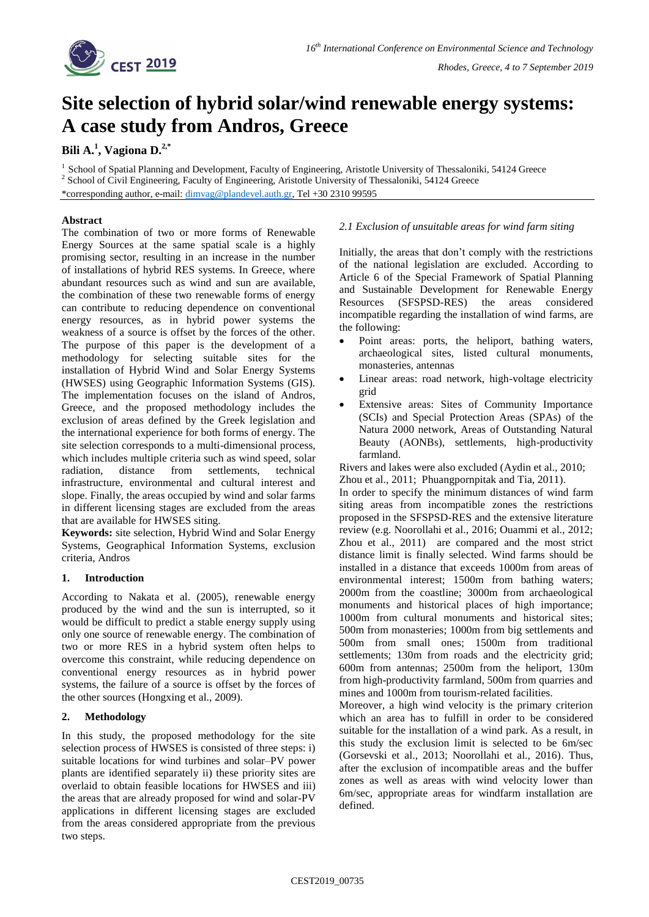

# **Site selection of hybrid solar/wind renewable energy systems: A case study from Andros, Greece**

## **Bili A.<sup>1</sup> , Vagiona D.2,\***

<sup>1</sup> School of Spatial Planning and Development, Faculty of Engineering, Aristotle University of Thessaloniki, 54124 Greece <sup>2</sup> School of Civil Engineering, Faculty of Engineering, Aristotle University of Thessaloniki, 54124 Greece

\*corresponding author, e-mail: [dimvag@plandevel.auth.gr,](mailto:dimvag@plandevel.auth.gr) Tel +30 2310 99595

## **Abstract**

The combination of two or more forms of Renewable Energy Sources at the same spatial scale is a highly promising sector, resulting in an increase in the number of installations of hybrid RES systems. In Greece, where abundant resources such as wind and sun are available, the combination of these two renewable forms of energy can contribute to reducing dependence on conventional energy resources, as in hybrid power systems the weakness of a source is offset by the forces of the other. The purpose of this paper is the development of a methodology for selecting suitable sites for the installation of Hybrid Wind and Solar Energy Systems (HWSES) using Geographic Information Systems (GIS). The implementation focuses on the island of Andros, Greece, and the proposed methodology includes the exclusion of areas defined by the Greek legislation and the international experience for both forms of energy. The site selection corresponds to a multi-dimensional process, which includes multiple criteria such as wind speed, solar radiation, distance from settlements, technical infrastructure, environmental and cultural interest and slope. Finally, the areas occupied by wind and solar farms in different licensing stages are excluded from the areas that are available for HWSES siting.

**Keywords:** site selection, Hybrid Wind and Solar Energy Systems, Geographical Information Systems, exclusion criteria, Andros

## **1. Introduction**

According to Nakata et al. (2005), renewable energy produced by the wind and the sun is interrupted, so it would be difficult to predict a stable energy supply using only one source of renewable energy. The combination of two or more RES in a hybrid system often helps to overcome this constraint, while reducing dependence on conventional energy resources as in hybrid power systems, the failure of a source is offset by the forces of the other sources (Hongxing et al., 2009).

#### **2. Methodology**

In this study, the proposed methodology for the site selection process of HWSES is consisted of three steps: i) suitable locations for wind turbines and solar–PV power plants are identified separately ii) these priority sites are overlaid to obtain feasible locations for HWSES and iii) the areas that are already proposed for wind and solar-PV applications in different licensing stages are excluded from the areas considered appropriate from the previous two steps.

## *2.1 Exclusion of unsuitable areas for wind farm siting*

Initially, the areas that don't comply with the restrictions of the national legislation are excluded. According to Article 6 of the Special Framework of Spatial Planning and Sustainable Development for Renewable Energy Resources (SFSPSD-RES) the areas considered incompatible regarding the installation of wind farms, are the following:

- Point areas: ports, the heliport, bathing waters, archaeological sites, listed cultural monuments, monasteries, antennas
- Linear areas: road network, high-voltage electricity grid
- Extensive areas: Sites of Community Importance (SCIs) and Special Protection Areas (SPAs) of the Natura 2000 network, Areas of Outstanding Natural Beauty (AONBs), settlements, high-productivity farmland.

Rivers and lakes were also excluded (Aydin et al., 2010; Zhou et al., 2011; Phuangpornpitak and Tia, 2011).

In order to specify the minimum distances of wind farm siting areas from incompatible zones the restrictions proposed in the SFSPSD-RES and the extensive literature review (e.g. Noorollahi et al., 2016; Ouammi et al., 2012; Zhou et al., 2011) are compared and the most strict distance limit is finally selected. Wind farms should be installed in a distance that exceeds 1000m from areas of environmental interest; 1500m from bathing waters; 2000m from the coastline; 3000m from archaeological monuments and historical places of high importance; 1000m from cultural monuments and historical sites; 500m from monasteries; 1000m from big settlements and 500m from small ones; 1500m from traditional settlements; 130m from roads and the electricity grid; 600m from antennas; 2500m from the heliport, 130m from high-productivity farmland, 500m from quarries and mines and 1000m from tourism-related facilities.

Moreover, a high wind velocity is the primary criterion which an area has to fulfill in order to be considered suitable for the installation of a wind park. As a result, in this study the exclusion limit is selected to be 6m/sec (Gorsevski et al., 2013; Noorollahi et al., 2016). Thus, after the exclusion of incompatible areas and the buffer zones as well as areas with wind velocity lower than 6m/sec, appropriate areas for windfarm installation are defined.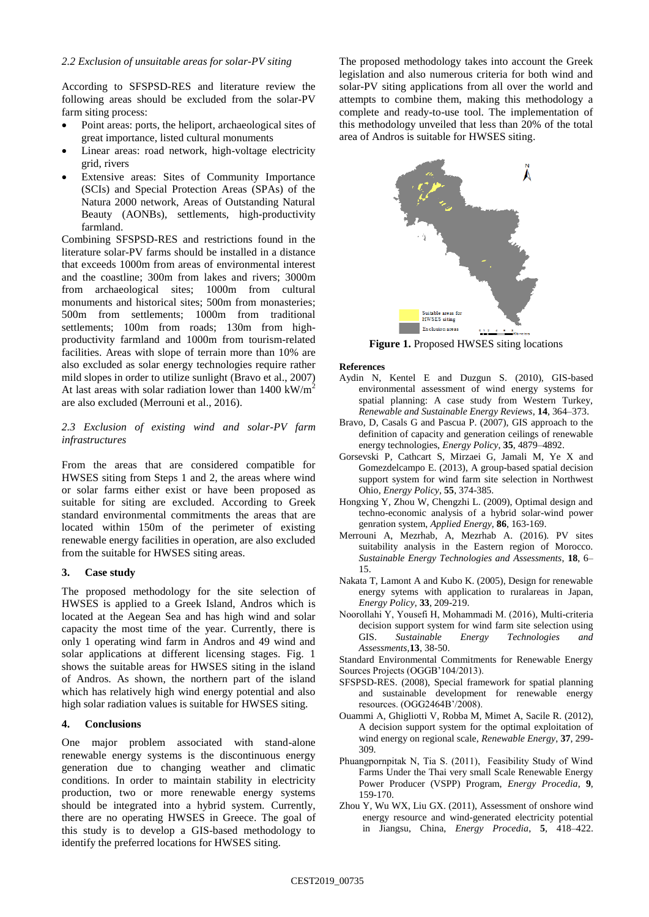According to SFSPSD-RES and literature review the following areas should be excluded from the solar-PV farm siting process:

- Point areas: ports, the heliport, archaeological sites of great importance, listed cultural monuments
- Linear areas: road network, high-voltage electricity grid, rivers
- Extensive areas: Sites of Community Importance (SCIs) and Special Protection Areas (SPAs) of the Natura 2000 network, Areas of Outstanding Natural Beauty (AONBs), settlements, high-productivity farmland.

Combining SFSPSD-RES and restrictions found in the literature solar-PV farms should be installed in a distance that exceeds 1000m from areas of environmental interest and the coastline; 300m from lakes and rivers; 3000m from archaeological sites; 1000m from cultural monuments and historical sites; 500m from monasteries; 500m from settlements; 1000m from traditional settlements; 100m from roads; 130m from highproductivity farmland and 1000m from tourism-related facilities. Areas with slope of terrain more than 10% are also excluded as solar energy technologies require rather mild slopes in order to utilize sunlight (Bravo et al., 2007) At last areas with solar radiation lower than  $1400 \text{ kW/m}^2$ are also excluded (Merrouni et al., 2016).

#### *2.3 Exclusion of existing wind and solar-PV farm infrastructures*

From the areas that are considered compatible for HWSES siting from Steps 1 and 2, the areas where wind or solar farms either exist or have been proposed as suitable for siting are excluded. According to Greek standard environmental commitments the areas that are located within 150m of the perimeter of existing renewable energy facilities in operation, are also excluded from the suitable for HWSES siting areas.

#### **3. Case study**

The proposed methodology for the site selection of HWSES is applied to a Greek Island, Andros which is located at the Aegean Sea and has high wind and solar capacity the most time of the year. Currently, there is only 1 operating wind farm in Andros and 49 wind and solar applications at different licensing stages. Fig. 1 shows the suitable areas for HWSES siting in the island of Andros. As shown, the northern part of the island which has relatively high wind energy potential and also high solar radiation values is suitable for HWSES siting.

#### **4. Conclusions**

One major problem associated with stand-alone renewable energy systems is the discontinuous energy generation due to changing weather and climatic conditions. In order to maintain stability in electricity production, two or more renewable energy systems should be integrated into a hybrid system. Currently, there are no operating HWSES in Greece. The goal of this study is to develop a GIS-based methodology to identify the preferred locations for HWSES siting.

The proposed methodology takes into account the Greek legislation and also numerous criteria for both wind and solar-PV siting applications from all over the world and attempts to combine them, making this methodology a complete and ready-to-use tool. The implementation of this methodology unveiled that less than 20% of the total area of Andros is suitable for HWSES siting.



**Figure 1.** Proposed HWSES siting locations

#### **References**

- Aydin N, Kentel E and Duzgun S. (2010), GIS-based environmental assessment of wind energy systems for spatial planning: A case study from Western Turkey, *Renewable and Sustainable Energy Reviews*, **14**, 364–373.
- Bravo, D, Casals G and Pascua P. (2007), GIS approach to the definition of capacity and generation ceilings of renewable energy technologies, *Energy Policy*, **35**, 4879–4892.
- Gorsevski P, Cathcart S, Mirzaei G, Jamali M, Ye X and Gomezdelcampo E. (2013), A group-based spatial decision support system for wind farm site selection in Northwest Ohio, *Energy Policy*, **55**, 374-385.
- Hongxing Y, Zhou W, Chengzhi L. (2009), Optimal design and techno-economic analysis of a hybrid solar-wind power genration system, *Applied Energy*, **86**, 163-169.
- Merrouni A, Mezrhab, A, Mezrhab A. (2016). PV sites suitability analysis in the Eastern region of Morocco. *Sustainable Energy Technologies and Assessments*, **18**, 6– 15.
- Nakata T, Lamont A and Kubo K. (2005), Design for renewable energy sytems with application to ruralareas in Japan, *Energy Policy*, **33**, 209-219.
- Noorollahi Υ, Yousefi Η, Mohammadi Μ. (2016), Multi-criteria decision support system for wind farm site selection using GIS. *Sustainable Energy Technologies and Assessments,***13**, 38-50.

Standard Environmental Commitments for Renewable Energy Sources Projects (OGGΒ'104/2013).

- SFSPSD-RES. (2008), Special framework for spatial planning and sustainable development for renewable energy resources. (OGG2464Β'/2008).
- Ouammi Α, Ghigliotti V, Robba M, Mimet A, Sacile R. (2012), A decision support system for the optimal exploitation of wind energy on regional scale, *Renewable Energy*, **37**, 299- 309.
- Phuangpornpitak Ν, Tia S. (2011), Feasibility Study of Wind Farms Under the Thai very small Scale Renewable Energy Power Producer (VSPP) Program, *Energy Procedia*, **9**, 159-170.
- Zhou Y, Wu WX, Liu GX. (2011), Assessment of onshore wind energy resource and wind-generated electricity potential in Jiangsu, China, *Energy Procedia*, **5**, 418–422.